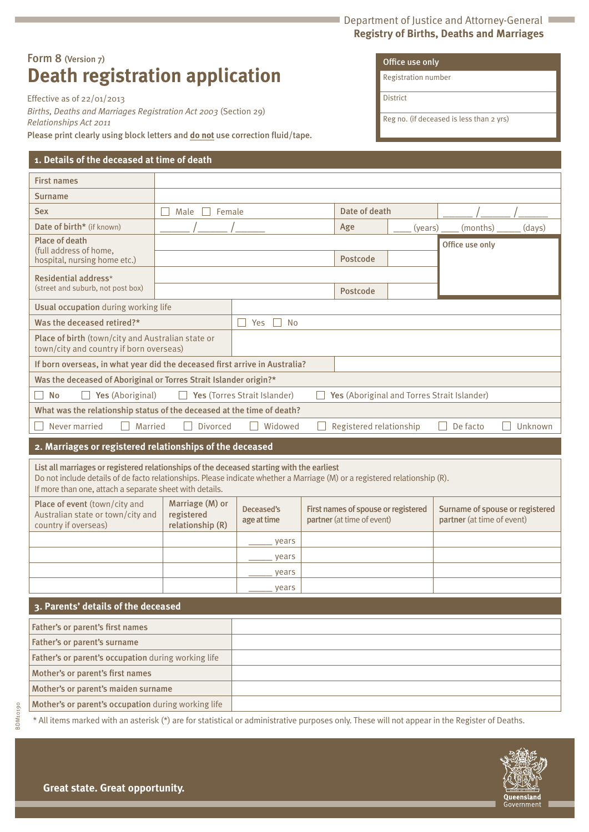#### Department of Justice and Attorney-General **Registry of Births, Deaths and Marriages**

# Form 8 (Version 7) **Death registration application**

Effective as of 22/01/2013

*Births, Deaths and Marriages Registration Act 2003* (Section 29) *Relationships Act 2011*

Please print clearly using block letters and **do not** use correction fluid/tape.

## **1. Details of the deceased at time of death**

| Registration number |
|---------------------|
| District            |

Office use only

Reg no. (if deceased is less than 2 yrs)

| <b>First names</b>                                                                                                                                                                                                                                                                 |                                                          |                              |  |                                                                   |         |                                                               |  |
|------------------------------------------------------------------------------------------------------------------------------------------------------------------------------------------------------------------------------------------------------------------------------------|----------------------------------------------------------|------------------------------|--|-------------------------------------------------------------------|---------|---------------------------------------------------------------|--|
| Surname                                                                                                                                                                                                                                                                            |                                                          |                              |  |                                                                   |         |                                                               |  |
| <b>Sex</b>                                                                                                                                                                                                                                                                         | Male<br>Female                                           |                              |  | Date of death                                                     |         |                                                               |  |
| Date of birth* (if known)                                                                                                                                                                                                                                                          |                                                          |                              |  | Age                                                               | (years) | (months)<br>(days)                                            |  |
| Place of death<br>(full address of home,<br>hospital, nursing home etc.)                                                                                                                                                                                                           |                                                          |                              |  | <b>Postcode</b>                                                   |         | Office use only                                               |  |
| Residential address*<br>(street and suburb, not post box)                                                                                                                                                                                                                          |                                                          |                              |  | Postcode                                                          |         |                                                               |  |
| Usual occupation during working life                                                                                                                                                                                                                                               |                                                          |                              |  |                                                                   |         |                                                               |  |
| Was the deceased retired?*                                                                                                                                                                                                                                                         |                                                          | $\Box$ No<br>Yes             |  |                                                                   |         |                                                               |  |
| Place of birth (town/city and Australian state or<br>town/city and country if born overseas)                                                                                                                                                                                       |                                                          |                              |  |                                                                   |         |                                                               |  |
| If born overseas, in what year did the deceased first arrive in Australia?                                                                                                                                                                                                         |                                                          |                              |  |                                                                   |         |                                                               |  |
| Was the deceased of Aboriginal or Torres Strait Islander origin?*                                                                                                                                                                                                                  |                                                          |                              |  |                                                                   |         |                                                               |  |
| <b>No</b><br>Yes (Aboriginal)                                                                                                                                                                                                                                                      |                                                          | Yes (Torres Strait Islander) |  |                                                                   |         | Yes (Aboriginal and Torres Strait Islander)                   |  |
| What was the relationship status of the deceased at the time of death?                                                                                                                                                                                                             |                                                          |                              |  |                                                                   |         |                                                               |  |
| Never married<br>Married<br>Widowed<br>Registered relationship<br><b>Divorced</b><br>De facto<br>Unknown                                                                                                                                                                           |                                                          |                              |  |                                                                   |         |                                                               |  |
|                                                                                                                                                                                                                                                                                    | 2. Marriages or registered relationships of the deceased |                              |  |                                                                   |         |                                                               |  |
| List all marriages or registered relationships of the deceased starting with the earliest<br>Do not include details of de facto relationships. Please indicate whether a Marriage (M) or a registered relationship (R).<br>If more than one, attach a separate sheet with details. |                                                          |                              |  |                                                                   |         |                                                               |  |
|                                                                                                                                                                                                                                                                                    |                                                          |                              |  |                                                                   |         |                                                               |  |
| Place of event (town/city and<br>Australian state or town/city and<br>country if overseas)                                                                                                                                                                                         | Marriage (M) or<br>registered<br>relationship (R)        | Deceased's<br>age at time    |  | First names of spouse or registered<br>partner (at time of event) |         | Surname of spouse or registered<br>partner (at time of event) |  |
|                                                                                                                                                                                                                                                                                    |                                                          | years                        |  |                                                                   |         |                                                               |  |
|                                                                                                                                                                                                                                                                                    |                                                          | years                        |  |                                                                   |         |                                                               |  |
|                                                                                                                                                                                                                                                                                    |                                                          | vears                        |  |                                                                   |         |                                                               |  |
|                                                                                                                                                                                                                                                                                    |                                                          | years                        |  |                                                                   |         |                                                               |  |
| 3. Parents' details of the deceased                                                                                                                                                                                                                                                |                                                          |                              |  |                                                                   |         |                                                               |  |
| Father's or parent's first names                                                                                                                                                                                                                                                   |                                                          |                              |  |                                                                   |         |                                                               |  |
| Father's or parent's surname                                                                                                                                                                                                                                                       |                                                          |                              |  |                                                                   |         |                                                               |  |
| Father's or parent's occupation during working life                                                                                                                                                                                                                                |                                                          |                              |  |                                                                   |         |                                                               |  |
| Mother's or parent's first names                                                                                                                                                                                                                                                   |                                                          |                              |  |                                                                   |         |                                                               |  |
| Mother's or parent's maiden surname                                                                                                                                                                                                                                                |                                                          |                              |  |                                                                   |         |                                                               |  |